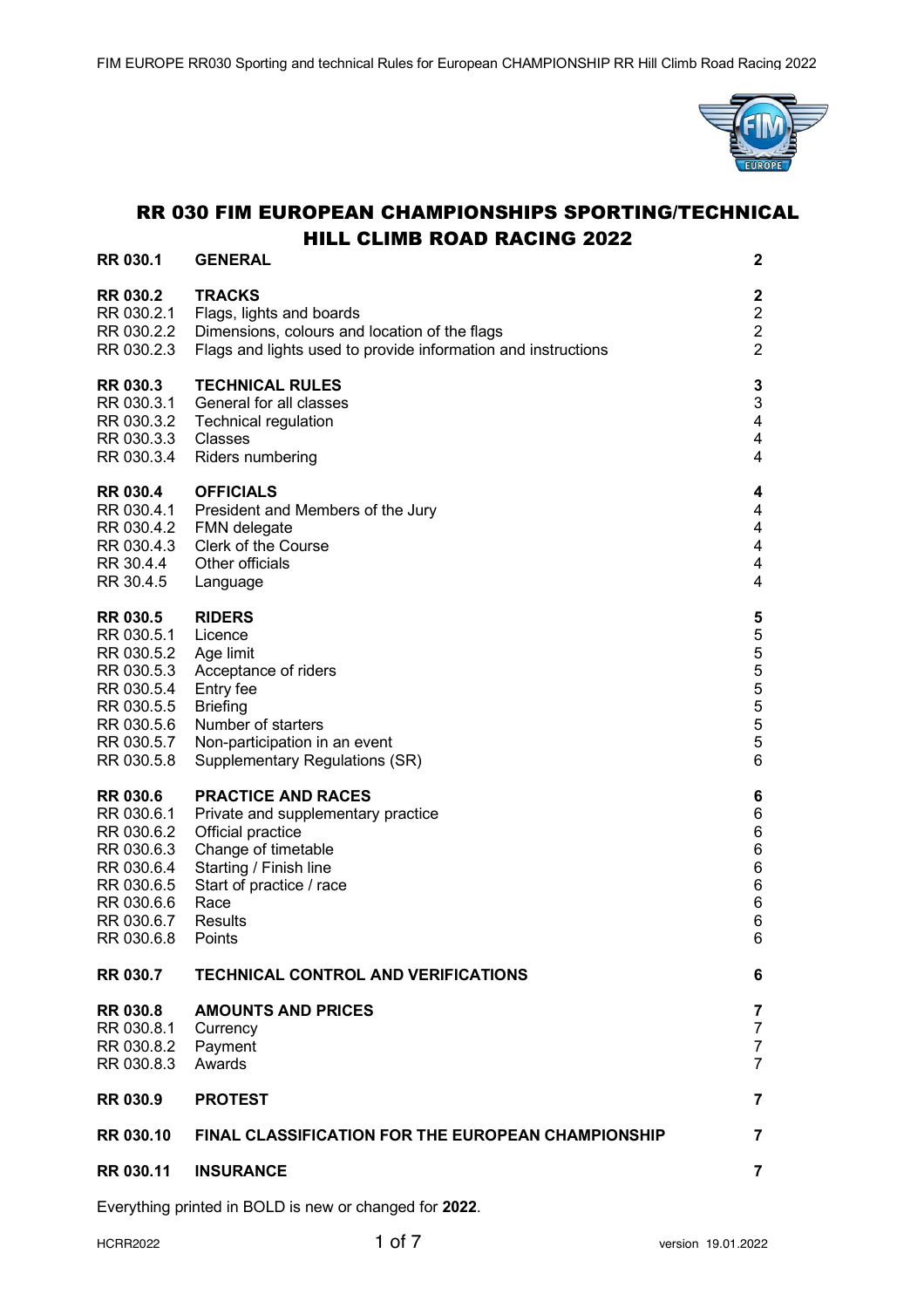

# RR 030 FIM EUROPEAN CHAMPIONSHIPS SPORTING/TECHNICAL HILL CLIMB ROAD RACING 2022

| <b>RR 030.1</b>                                                                                                                           | <b>GENERAL</b>                                                                                                                                                                                 | 2                                                                |
|-------------------------------------------------------------------------------------------------------------------------------------------|------------------------------------------------------------------------------------------------------------------------------------------------------------------------------------------------|------------------------------------------------------------------|
| <b>RR 030.2</b><br>RR 030.2.1<br>RR 030.2.2<br>RR 030.2.3                                                                                 | <b>TRACKS</b><br>Flags, lights and boards<br>Dimensions, colours and location of the flags<br>Flags and lights used to provide information and instructions                                    | 2<br>$\overline{\mathbf{c}}$<br>$\overline{c}$<br>$\overline{2}$ |
| <b>RR 030.3</b><br>RR 030.3.1<br>RR 030.3.2<br>RR 030.3.3<br>RR 030.3.4                                                                   | <b>TECHNICAL RULES</b><br>General for all classes<br><b>Technical regulation</b><br>Classes<br>Riders numbering                                                                                | 3<br>3<br>4<br>4<br>4                                            |
| <b>RR 030.4</b><br>RR 030.4.1<br>RR 030.4.2<br>RR 030.4.3<br>RR 30.4.4<br>RR 30.4.5                                                       | <b>OFFICIALS</b><br>President and Members of the Jury<br><b>FMN</b> delegate<br>Clerk of the Course<br>Other officials<br>Language                                                             | 4<br>4<br>4<br>4<br>4<br>4                                       |
| <b>RR 030.5</b><br>RR 030.5.1<br>RR 030.5.2 Age limit<br>RR 030.5.3<br>RR 030.5.4<br>RR 030.5.5<br>RR 030.5.6<br>RR 030.5.7<br>RR 030.5.8 | <b>RIDERS</b><br>Licence<br>Acceptance of riders<br>Entry fee<br><b>Briefing</b><br>Number of starters<br>Non-participation in an event<br>Supplementary Regulations (SR)                      | 5<br>5<br>5<br>5<br>5<br>5<br>5<br>5<br>6                        |
| <b>RR 030.6</b><br>RR 030.6.1<br>RR 030.6.2<br>RR 030.6.3<br>RR 030.6.4<br>RR 030.6.5<br>RR 030.6.6<br>RR 030.6.7<br>RR 030.6.8           | <b>PRACTICE AND RACES</b><br>Private and supplementary practice<br>Official practice<br>Change of timetable<br>Starting / Finish line<br>Start of practice / race<br>Race<br>Results<br>Points | 6<br>6<br>6<br>6<br>6<br>6<br>6<br>6<br>6                        |
| <b>RR 030.7</b>                                                                                                                           | <b>TECHNICAL CONTROL AND VERIFICATIONS</b>                                                                                                                                                     | 6                                                                |
| <b>RR 030.8</b><br>RR 030.8.1<br>RR 030.8.2<br>RR 030.8.3                                                                                 | <b>AMOUNTS AND PRICES</b><br>Currency<br>Payment<br>Awards                                                                                                                                     | 7<br>7<br>7<br>7                                                 |
| <b>RR 030.9</b>                                                                                                                           | <b>PROTEST</b>                                                                                                                                                                                 | 7                                                                |
| <b>RR 030.10</b>                                                                                                                          | <b>FINAL CLASSIFICATION FOR THE EUROPEAN CHAMPIONSHIP</b>                                                                                                                                      | 7                                                                |
| <b>RR 030.11</b>                                                                                                                          | <b>INSURANCE</b>                                                                                                                                                                               | 7                                                                |

Everything printed in BOLD is new or changed for **2022**.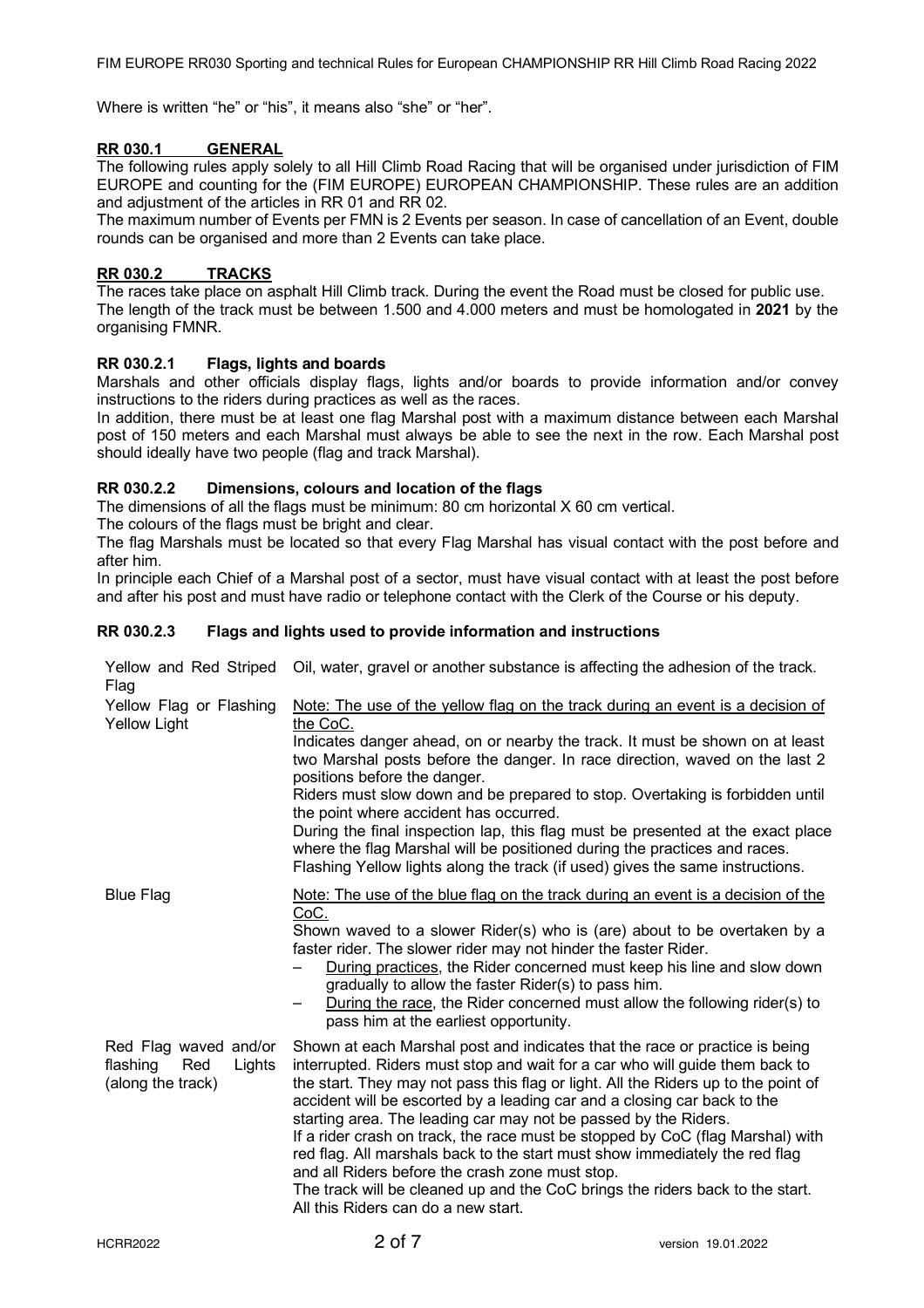Where is written "he" or "his", it means also "she" or "her".

# **RR 030.1 GENERAL**

The following rules apply solely to all Hill Climb Road Racing that will be organised under jurisdiction of FIM EUROPE and counting for the (FIM EUROPE) EUROPEAN CHAMPIONSHIP. These rules are an addition and adjustment of the articles in RR 01 and RR 02.

The maximum number of Events per FMN is 2 Events per season. In case of cancellation of an Event, double rounds can be organised and more than 2 Events can take place.

# **RR 030.2 TRACKS**

The races take place on asphalt Hill Climb track. During the event the Road must be closed for public use. The length of the track must be between 1.500 and 4.000 meters and must be homologated in **2021** by the organising FMNR.

# **RR 030.2.1 Flags, lights and boards**

Marshals and other officials display flags, lights and/or boards to provide information and/or convey instructions to the riders during practices as well as the races.

In addition, there must be at least one flag Marshal post with a maximum distance between each Marshal post of 150 meters and each Marshal must always be able to see the next in the row. Each Marshal post should ideally have two people (flag and track Marshal).

# **RR 030.2.2 Dimensions, colours and location of the flags**

The dimensions of all the flags must be minimum: 80 cm horizontal X 60 cm vertical.

The colours of the flags must be bright and clear.

The flag Marshals must be located so that every Flag Marshal has visual contact with the post before and after him.

In principle each Chief of a Marshal post of a sector, must have visual contact with at least the post before and after his post and must have radio or telephone contact with the Clerk of the Course or his deputy.

# **RR 030.2.3 Flags and lights used to provide information and instructions**

| Yellow and Red Striped<br>Flag                                          | Oil, water, gravel or another substance is affecting the adhesion of the track.                                                                                                                                                                                                                                                                                                                                                                                                                                                                                                                                                                                                                                                              |
|-------------------------------------------------------------------------|----------------------------------------------------------------------------------------------------------------------------------------------------------------------------------------------------------------------------------------------------------------------------------------------------------------------------------------------------------------------------------------------------------------------------------------------------------------------------------------------------------------------------------------------------------------------------------------------------------------------------------------------------------------------------------------------------------------------------------------------|
| Yellow Flag or Flashing<br><b>Yellow Light</b>                          | Note: The use of the yellow flag on the track during an event is a decision of<br>the CoC.<br>Indicates danger ahead, on or nearby the track. It must be shown on at least<br>two Marshal posts before the danger. In race direction, waved on the last 2<br>positions before the danger.<br>Riders must slow down and be prepared to stop. Overtaking is forbidden until<br>the point where accident has occurred.<br>During the final inspection lap, this flag must be presented at the exact place<br>where the flag Marshal will be positioned during the practices and races.<br>Flashing Yellow lights along the track (if used) gives the same instructions.                                                                         |
| <b>Blue Flag</b>                                                        | Note: The use of the blue flag on the track during an event is a decision of the<br>CoC.<br>Shown waved to a slower Rider(s) who is (are) about to be overtaken by a<br>faster rider. The slower rider may not hinder the faster Rider.<br>During practices, the Rider concerned must keep his line and slow down<br>gradually to allow the faster Rider(s) to pass him.<br>During the race, the Rider concerned must allow the following rider(s) to<br>pass him at the earliest opportunity.                                                                                                                                                                                                                                               |
| Red Flag waved and/or<br>flashing<br>Red<br>Lights<br>(along the track) | Shown at each Marshal post and indicates that the race or practice is being<br>interrupted. Riders must stop and wait for a car who will guide them back to<br>the start. They may not pass this flag or light. All the Riders up to the point of<br>accident will be escorted by a leading car and a closing car back to the<br>starting area. The leading car may not be passed by the Riders.<br>If a rider crash on track, the race must be stopped by CoC (flag Marshal) with<br>red flag. All marshals back to the start must show immediately the red flag<br>and all Riders before the crash zone must stop.<br>The track will be cleaned up and the CoC brings the riders back to the start.<br>All this Riders can do a new start. |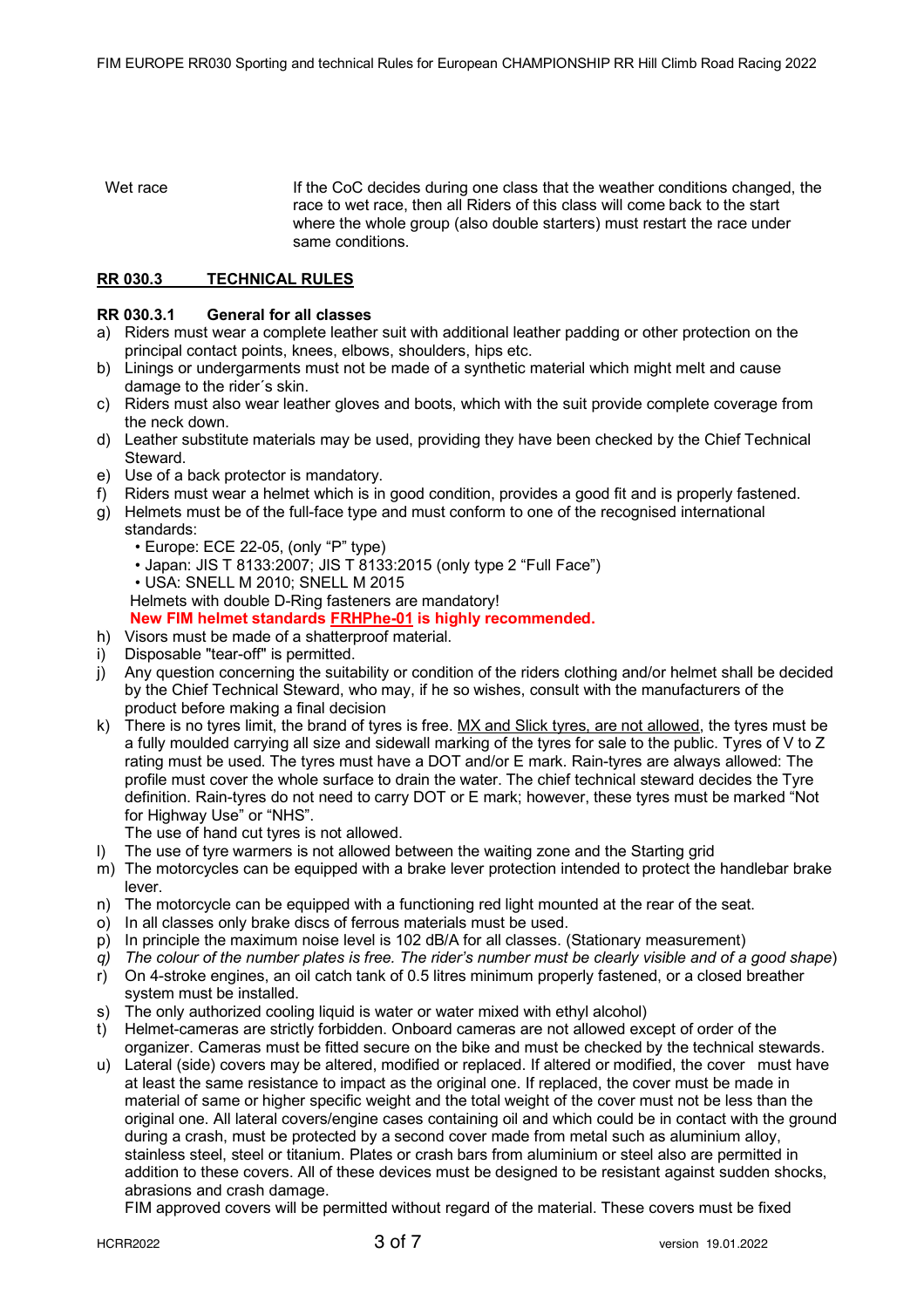Wet race **If the CoC decides during one class that the weather conditions changed, the** race to wet race, then all Riders of this class will come back to the start where the whole group (also double starters) must restart the race under same conditions.

# **RR 030.3 TECHNICAL RULES**

### **RR 030.3.1 General for all classes**

- a) Riders must wear a complete leather suit with additional leather padding or other protection on the principal contact points, knees, elbows, shoulders, hips etc.
- b) Linings or undergarments must not be made of a synthetic material which might melt and cause damage to the rider´s skin.
- c) Riders must also wear leather gloves and boots, which with the suit provide complete coverage from the neck down.
- d) Leather substitute materials may be used, providing they have been checked by the Chief Technical Steward.
- e) Use of a back protector is mandatory.
- f) Riders must wear a helmet which is in good condition, provides a good fit and is properly fastened.
- g) Helmets must be of the full-face type and must conform to one of the recognised international standards:
	- Europe: ECE 22-05, (only "P" type)
	- Japan: JIS T 8133:2007; JIS T 8133:2015 (only type 2 "Full Face")
	- USA: SNELL M 2010; SNELL M 2015

Helmets with double D-Ring fasteners are mandatory!

# **New FIM helmet standards FRHPhe-01 is highly recommended.**

- h) Visors must be made of a shatterproof material.
- i) Disposable "tear-off" is permitted.
- j) Any question concerning the suitability or condition of the riders clothing and/or helmet shall be decided by the Chief Technical Steward, who may, if he so wishes, consult with the manufacturers of the product before making a final decision
- k) There is no tyres limit, the brand of tyres is free. MX and Slick tyres, are not allowed, the tyres must be a fully moulded carrying all size and sidewall marking of the tyres for sale to the public. Tyres of V to Z rating must be used. The tyres must have a DOT and/or E mark. Rain-tyres are always allowed: The profile must cover the whole surface to drain the water. The chief technical steward decides the Tyre definition. Rain-tyres do not need to carry DOT or E mark; however, these tyres must be marked "Not for Highway Use" or "NHS".

The use of hand cut tyres is not allowed.

- l) The use of tyre warmers is not allowed between the waiting zone and the Starting grid
- m) The motorcycles can be equipped with a brake lever protection intended to protect the handlebar brake lever.
- n) The motorcycle can be equipped with a functioning red light mounted at the rear of the seat.
- o) In all classes only brake discs of ferrous materials must be used.
- p) In principle the maximum noise level is 102 dB/A for all classes. (Stationary measurement)
- *q) The colour of the number plates is free. The rider's number must be clearly visible and of a good shape*)
- r) On 4-stroke engines, an oil catch tank of 0.5 litres minimum properly fastened, or a closed breather system must be installed.
- s) The only authorized cooling liquid is water or water mixed with ethyl alcohol)
- t) Helmet-cameras are strictly forbidden. Onboard cameras are not allowed except of order of the organizer. Cameras must be fitted secure on the bike and must be checked by the technical stewards.
- u) Lateral (side) covers may be altered, modified or replaced. If altered or modified, the cover must have at least the same resistance to impact as the original one. If replaced, the cover must be made in material of same or higher specific weight and the total weight of the cover must not be less than the original one. All lateral covers/engine cases containing oil and which could be in contact with the ground during a crash, must be protected by a second cover made from metal such as aluminium alloy, stainless steel, steel or titanium. Plates or crash bars from aluminium or steel also are permitted in addition to these covers. All of these devices must be designed to be resistant against sudden shocks, abrasions and crash damage.

FIM approved covers will be permitted without regard of the material. These covers must be fixed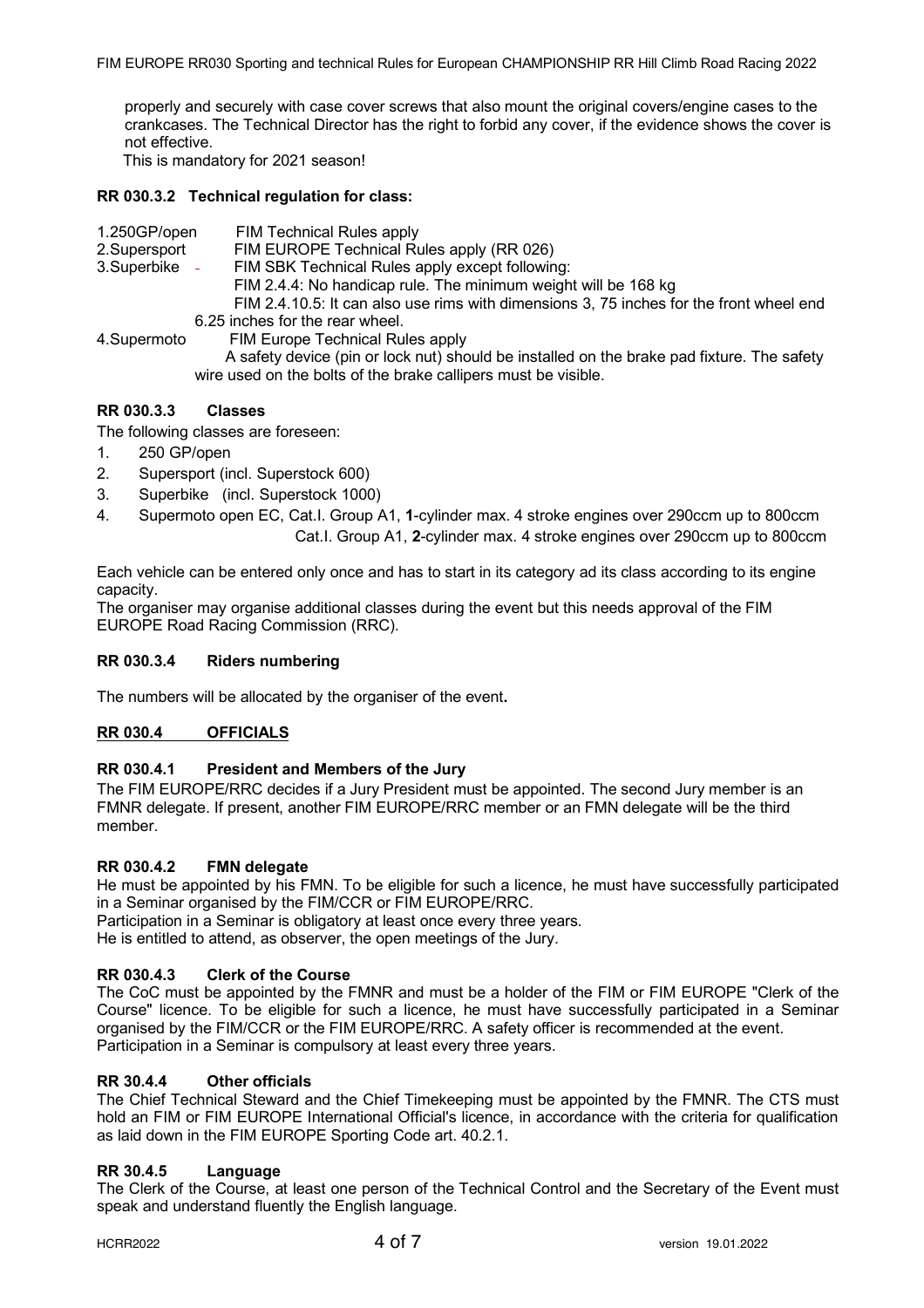properly and securely with case cover screws that also mount the original covers/engine cases to the crankcases. The Technical Director has the right to forbid any cover, if the evidence shows the cover is not effective.

This is mandatory for 2021 season!

# **RR 030.3.2 Technical regulation for class:**

- 1.250GP/open FIM Technical Rules apply
- 2.SupersportFIM EUROPE Technical Rules apply (RR 026)
- 3.Superbike FIM SBK Technical Rules apply except following:
	- FIM 2.4.4: No handicap rule. The minimum weight will be 168 kg
	- FIM 2.4.10.5: It can also use rims with dimensions 3, 75 inches for the front wheel end 6.25 inches for the rear wheel.
- 4.Supermoto FIM Europe Technical Rules apply A safety device (pin or lock nut) should be installed on the brake pad fixture. The safety wire used on the bolts of the brake callipers must be visible.

# **RR 030.3.3 Classes**

The following classes are foreseen:

- 1. 250 GP/open
- 2. Supersport (incl. Superstock 600)
- 3. Superbike (incl. Superstock 1000)
- 4. Supermoto open EC, Cat.I. Group A1, **1**-cylinder max. 4 stroke engines over 290ccm up to 800ccm Cat.I. Group A1, **2**-cylinder max. 4 stroke engines over 290ccm up to 800ccm

Each vehicle can be entered only once and has to start in its category ad its class according to its engine capacity.

The organiser may organise additional classes during the event but this needs approval of the FIM EUROPE Road Racing Commission (RRC).

### **RR 030.3.4 Riders numbering**

The numbers will be allocated by the organiser of the event**.**

# **RR 030.4 OFFICIALS**

### **RR 030.4.1 President and Members of the Jury**

The FIM EUROPE/RRC decides if a Jury President must be appointed. The second Jury member is an FMNR delegate. If present, another FIM EUROPE/RRC member or an FMN delegate will be the third member.

### **RR 030.4.2 FMN delegate**

He must be appointed by his FMN. To be eligible for such a licence, he must have successfully participated in a Seminar organised by the FIM/CCR or FIM EUROPE/RRC.

Participation in a Seminar is obligatory at least once every three years.

He is entitled to attend, as observer, the open meetings of the Jury.

# **RR 030.4.3 Clerk of the Course**

The CoC must be appointed by the FMNR and must be a holder of the FIM or FIM EUROPE "Clerk of the Course" licence. To be eligible for such a licence, he must have successfully participated in a Seminar organised by the FIM/CCR or the FIM EUROPE/RRC. A safety officer is recommended at the event. Participation in a Seminar is compulsory at least every three years.

### **RR 30.4.4 Other officials**

The Chief Technical Steward and the Chief Timekeeping must be appointed by the FMNR. The CTS must hold an FIM or FIM EUROPE International Official's licence, in accordance with the criteria for qualification as laid down in the FIM EUROPE Sporting Code art. 40.2.1.

# **RR 30.4.5 Language**

The Clerk of the Course, at least one person of the Technical Control and the Secretary of the Event must speak and understand fluently the English language.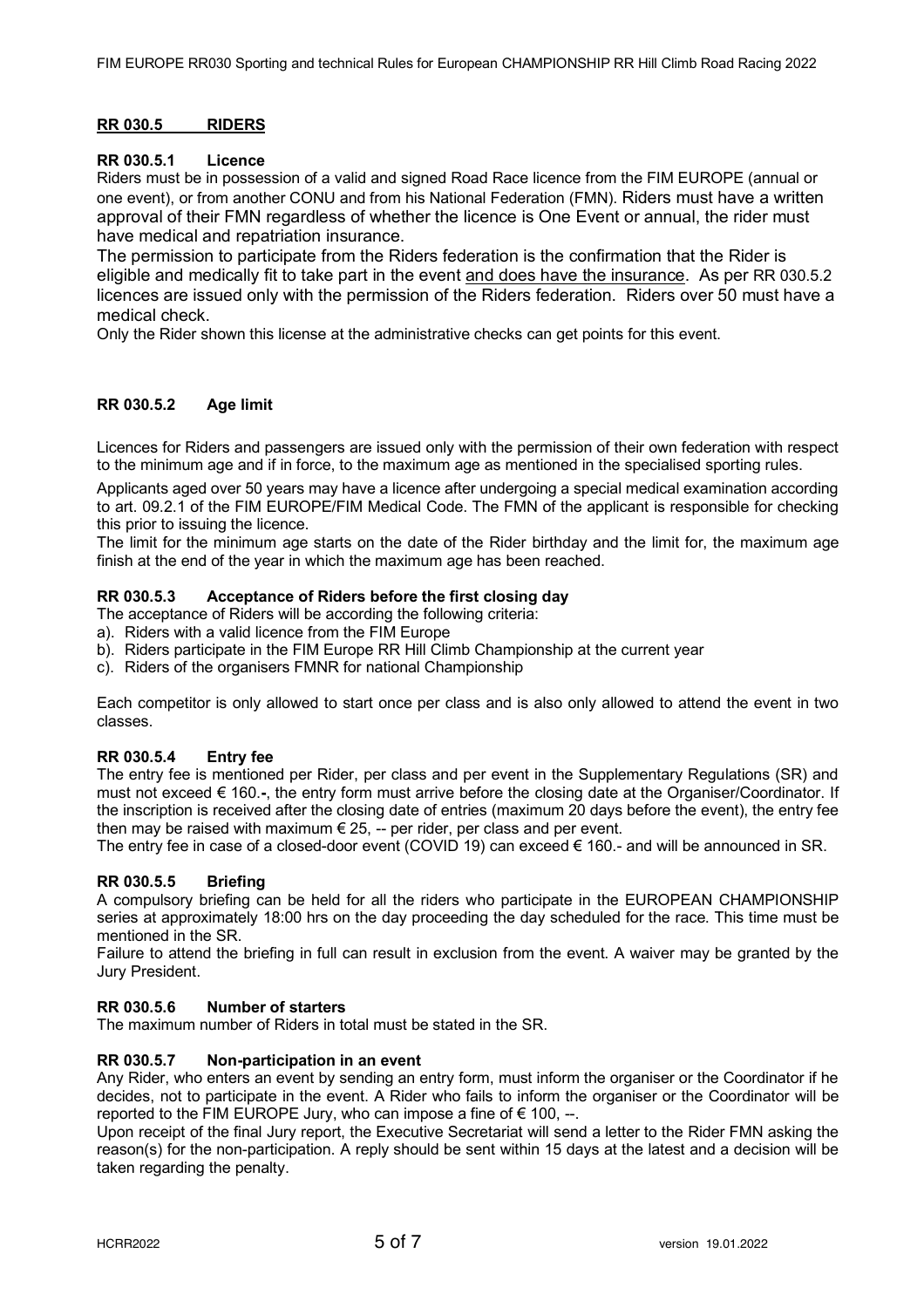### **RR 030.5 RIDERS**

### **RR 030.5.1 Licence**

Riders must be in possession of a valid and signed Road Race licence from the FIM EUROPE (annual or one event), or from another CONU and from his National Federation (FMN). Riders must have a written approval of their FMN regardless of whether the licence is One Event or annual, the rider must have medical and repatriation insurance.

The permission to participate from the Riders federation is the confirmation that the Rider is eligible and medically fit to take part in the event and does have the insurance. As per RR 030.5.2 licences are issued only with the permission of the Riders federation. Riders over 50 must have a medical check.

Only the Rider shown this license at the administrative checks can get points for this event.

# **RR 030.5.2 Age limit**

Licences for Riders and passengers are issued only with the permission of their own federation with respect to the minimum age and if in force, to the maximum age as mentioned in the specialised sporting rules.

Applicants aged over 50 years may have a licence after undergoing a special medical examination according to art. 09.2.1 of the FIM EUROPE/FIM Medical Code. The FMN of the applicant is responsible for checking this prior to issuing the licence.

The limit for the minimum age starts on the date of the Rider birthday and the limit for, the maximum age finish at the end of the year in which the maximum age has been reached.

### **RR 030.5.3 Acceptance of Riders before the first closing day**

The acceptance of Riders will be according the following criteria:

- a). Riders with a valid licence from the FIM Europe
- b). Riders participate in the FIM Europe RR Hill Climb Championship at the current year
- c). Riders of the organisers FMNR for national Championship

Each competitor is only allowed to start once per class and is also only allowed to attend the event in two classes.

# **RR 030.5.4 Entry fee**

The entry fee is mentioned per Rider, per class and per event in the Supplementary Regulations (SR) and must not exceed € 160.**-**, the entry form must arrive before the closing date at the Organiser/Coordinator. If the inscription is received after the closing date of entries (maximum 20 days before the event), the entry fee then may be raised with maximum  $\epsilon$  25, -- per rider, per class and per event.

The entry fee in case of a closed-door event (COVID 19) can exceed  $\epsilon$  160.- and will be announced in SR.

### **RR 030.5.5 Briefing**

A compulsory briefing can be held for all the riders who participate in the EUROPEAN CHAMPIONSHIP series at approximately 18:00 hrs on the day proceeding the day scheduled for the race. This time must be mentioned in the SR.

Failure to attend the briefing in full can result in exclusion from the event. A waiver may be granted by the Jury President.

#### **RR 030.5.6 Number of starters**

The maximum number of Riders in total must be stated in the SR.

### **RR 030.5.7 Non-participation in an event**

Any Rider, who enters an event by sending an entry form, must inform the organiser or the Coordinator if he decides, not to participate in the event. A Rider who fails to inform the organiser or the Coordinator will be reported to the FIM EUROPE Jury, who can impose a fine of  $\epsilon$  100, --.

Upon receipt of the final Jury report, the Executive Secretariat will send a letter to the Rider FMN asking the reason(s) for the non-participation. A reply should be sent within 15 days at the latest and a decision will be taken regarding the penalty.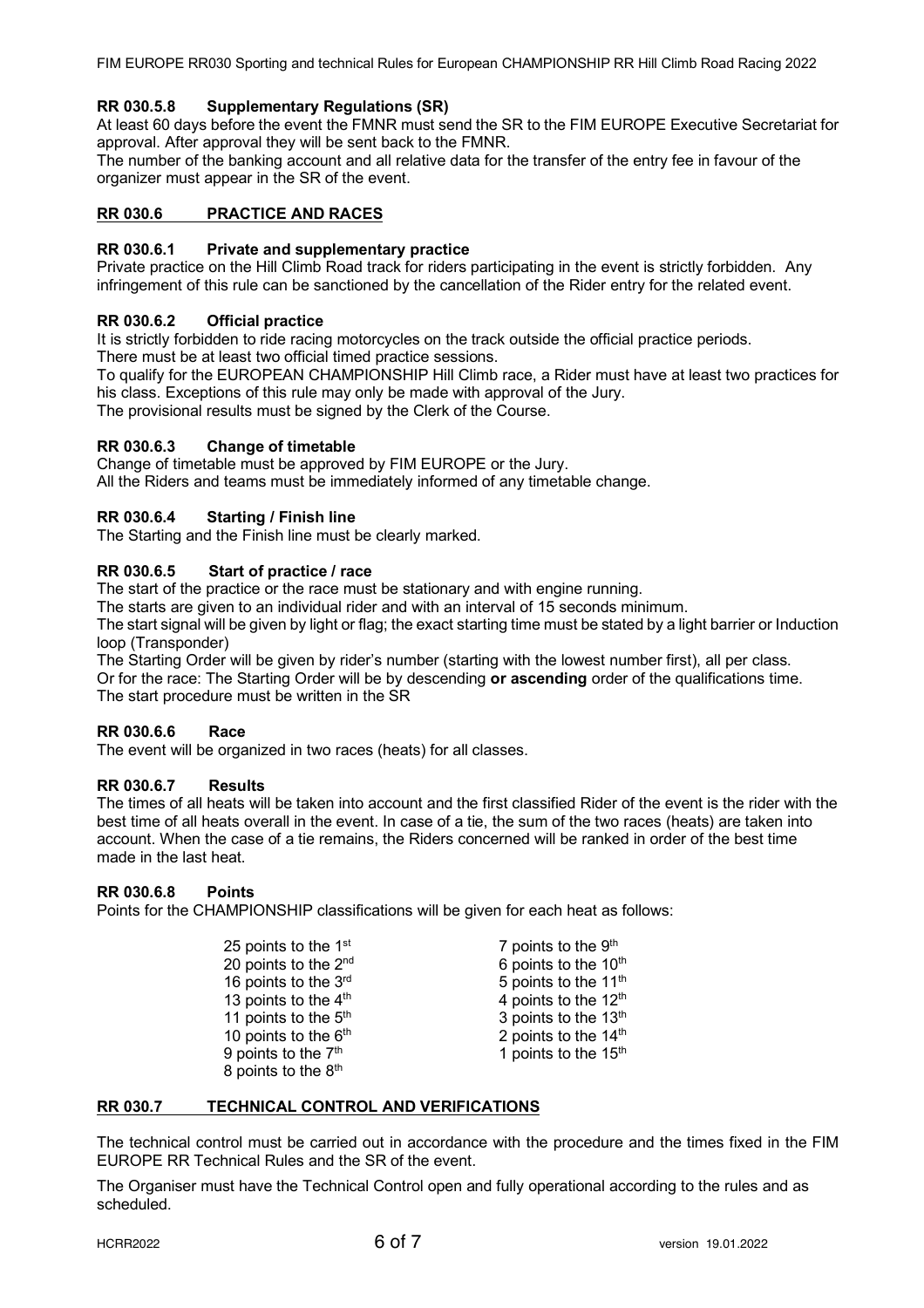# **RR 030.5.8 Supplementary Regulations (SR)**

At least 60 days before the event the FMNR must send the SR to the FIM EUROPE Executive Secretariat for approval. After approval they will be sent back to the FMNR.

The number of the banking account and all relative data for the transfer of the entry fee in favour of the organizer must appear in the SR of the event.

# **RR 030.6 PRACTICE AND RACES**

### **RR 030.6.1 Private and supplementary practice**

Private practice on the Hill Climb Road track for riders participating in the event is strictly forbidden. Any infringement of this rule can be sanctioned by the cancellation of the Rider entry for the related event.

### **RR 030.6.2 Official practice**

It is strictly forbidden to ride racing motorcycles on the track outside the official practice periods. There must be at least two official timed practice sessions.

To qualify for the EUROPEAN CHAMPIONSHIP Hill Climb race, a Rider must have at least two practices for his class. Exceptions of this rule may only be made with approval of the Jury.

The provisional results must be signed by the Clerk of the Course.

### **RR 030.6.3 Change of timetable**

Change of timetable must be approved by FIM EUROPE or the Jury. All the Riders and teams must be immediately informed of any timetable change.

# **RR 030.6.4 Starting / Finish line**

The Starting and the Finish line must be clearly marked.

# **RR 030.6.5 Start of practice / race**

The start of the practice or the race must be stationary and with engine running.

The starts are given to an individual rider and with an interval of 15 seconds minimum.

The start signal will be given by light or flag; the exact starting time must be stated by a light barrier or Induction loop (Transponder)

The Starting Order will be given by rider's number (starting with the lowest number first), all per class. Or for the race: The Starting Order will be by descending **or ascending** order of the qualifications time. The start procedure must be written in the SR

# **RR 030.6.6 Race**

The event will be organized in two races (heats) for all classes.

### **RR 030.6.7 Results**

The times of all heats will be taken into account and the first classified Rider of the event is the rider with the best time of all heats overall in the event. In case of a tie, the sum of the two races (heats) are taken into account. When the case of a tie remains, the Riders concerned will be ranked in order of the best time made in the last heat.

### **RR 030.6.8 Points**

Points for the CHAMPIONSHIP classifications will be given for each heat as follows:

| 25 points to the 1 <sup>st</sup> |  |  |
|----------------------------------|--|--|
| 20 points to the 2nd             |  |  |
| 16 points to the 3rd             |  |  |
| 13 points to the 4 <sup>th</sup> |  |  |
| 11 points to the 5 <sup>th</sup> |  |  |
| 10 points to the 6 <sup>th</sup> |  |  |
| 9 points to the 7 <sup>th</sup>  |  |  |
| 8 points to the 8 <sup>th</sup>  |  |  |

 $7$  points to the  $9<sup>th</sup>$ 6 points to the  $10<sup>th</sup>$ 5 points to the  $11<sup>th</sup>$ 4 points to the  $12<sup>th</sup>$ 3 points to the 13<sup>th</sup> 2 points to the  $14<sup>th</sup>$ 1 points to the  $15<sup>th</sup>$ 

### **RR 030.7 TECHNICAL CONTROL AND VERIFICATIONS**

The technical control must be carried out in accordance with the procedure and the times fixed in the FIM EUROPE RR Technical Rules and the SR of the event.

The Organiser must have the Technical Control open and fully operational according to the rules and as scheduled.